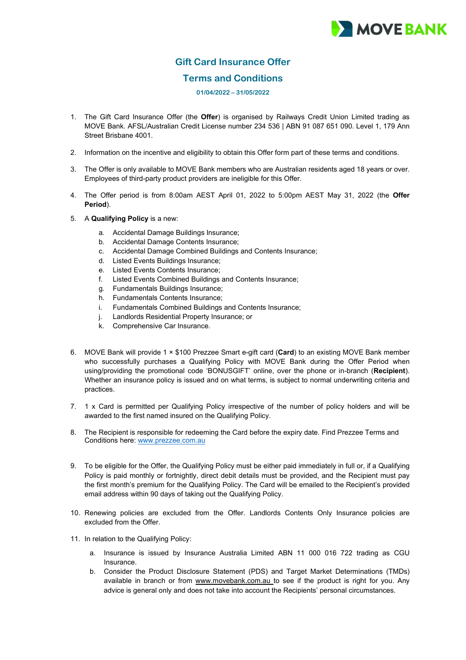## **MOVE BANK**

## **Gift Card Insurance Offer**

## **Terms and Conditions**

## **01/04/2022 – 31/05/2022**

- 1. The Gift Card Insurance Offer (the **Offer**) is organised by Railways Credit Union Limited trading as MOVE Bank. AFSL/Australian Credit License number 234 536 | ABN 91 087 651 090. Level 1, 179 Ann Street Brisbane 4001.
- 2. Information on the incentive and eligibility to obtain this Offer form part of these terms and conditions.
- 3. The Offer is only available to MOVE Bank members who are Australian residents aged 18 years or over. Employees of third-party product providers are ineligible for this Offer.
- 4. The Offer period is from 8:00am AEST April 01, 2022 to 5:00pm AEST May 31, 2022 (the **Offer Period**).
- 5. A **Qualifying Policy** is a new:
	- a. Accidental Damage Buildings Insurance;
	- b. Accidental Damage Contents Insurance;
	- c. Accidental Damage Combined Buildings and Contents Insurance;
	- d. Listed Events Buildings Insurance;
	- e. Listed Events Contents Insurance;
	- f. Listed Events Combined Buildings and Contents Insurance;
	- g. Fundamentals Buildings Insurance;
	- h. Fundamentals Contents Insurance;<br>i. Fundamentals Combined Buildings
	- Fundamentals Combined Buildings and Contents Insurance;
	- j. Landlords Residential Property Insurance; or
	- k. Comprehensive Car Insurance.
- 6. MOVE Bank will provide 1 × \$100 Prezzee Smart e-gift card (**Card**) to an existing MOVE Bank member who successfully purchases a Qualifying Policy with MOVE Bank during the Offer Period when using/providing the promotional code 'BONUSGIFT' online, over the phone or in-branch (**Recipient**). Whether an insurance policy is issued and on what terms, is subject to normal underwriting criteria and practices.
- 7. 1 x Card is permitted per Qualifying Policy irrespective of the number of policy holders and will be awarded to the first named insured on the Qualifying Policy.
- 8. The Recipient is responsible for redeeming the Card before the expiry date. Find Prezzee Terms and Conditions here: [www.prezzee.com.au](http://www.prezzee.com.au/)
- 9. To be eligible for the Offer, the Qualifying Policy must be either paid immediately in full or, if a Qualifying Policy is paid monthly or fortnightly, direct debit details must be provided, and the Recipient must pay the first month's premium for the Qualifying Policy. The Card will be emailed to the Recipient's provided email address within 90 days of taking out the Qualifying Policy.
- 10. Renewing policies are excluded from the Offer. Landlords Contents Only Insurance policies are excluded from the Offer.
- 11. In relation to the Qualifying Policy:
	- a. Insurance is issued by Insurance Australia Limited ABN 11 000 016 722 trading as CGU Insurance.
	- b. Consider the Product Disclosure Statement (PDS) and Target Market Determinations (TMDs) available in branch or from [www.movebank.com.au](http://www.movebank.com.au/) to see if the product is right for you. Any advice is general only and does not take into account the Recipients' personal circumstances.